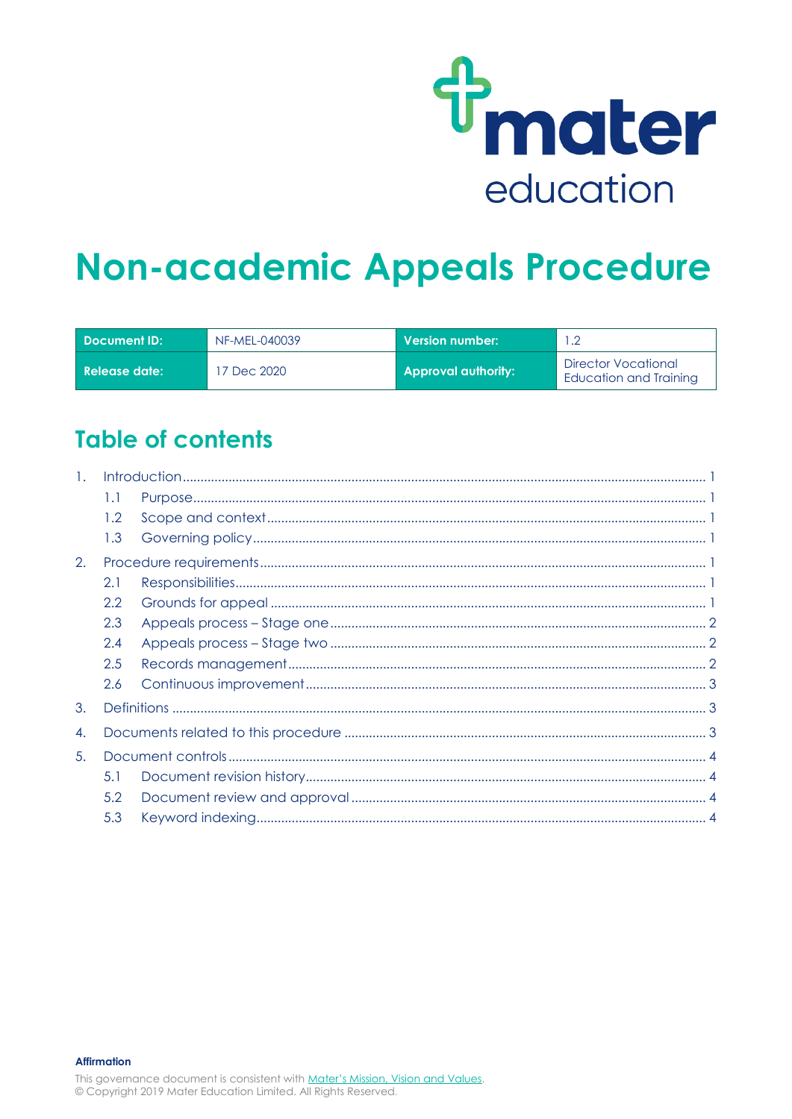

# **Non-academic Appeals Procedure**

| Document ID: \    | NF-MEL-040039 | $\,$ Version number: $\,$  | .2                                            |
|-------------------|---------------|----------------------------|-----------------------------------------------|
| l Release date: l | 7 Dec 2020    | <b>Approval authority:</b> | Director Vocational<br>Education and Training |

## **Table of contents**

| $\mathbf{1}$ . |     |  |  |
|----------------|-----|--|--|
|                | 1.1 |  |  |
|                | 1.2 |  |  |
|                | 1.3 |  |  |
| 2.             |     |  |  |
|                | 2.1 |  |  |
|                | 2.2 |  |  |
|                | 2.3 |  |  |
|                | 2.4 |  |  |
|                | 2.5 |  |  |
|                | 2.6 |  |  |
| 3.             |     |  |  |
| 4.             |     |  |  |
| 5.             |     |  |  |
|                | 5.1 |  |  |
|                | 5.2 |  |  |
|                | 5.3 |  |  |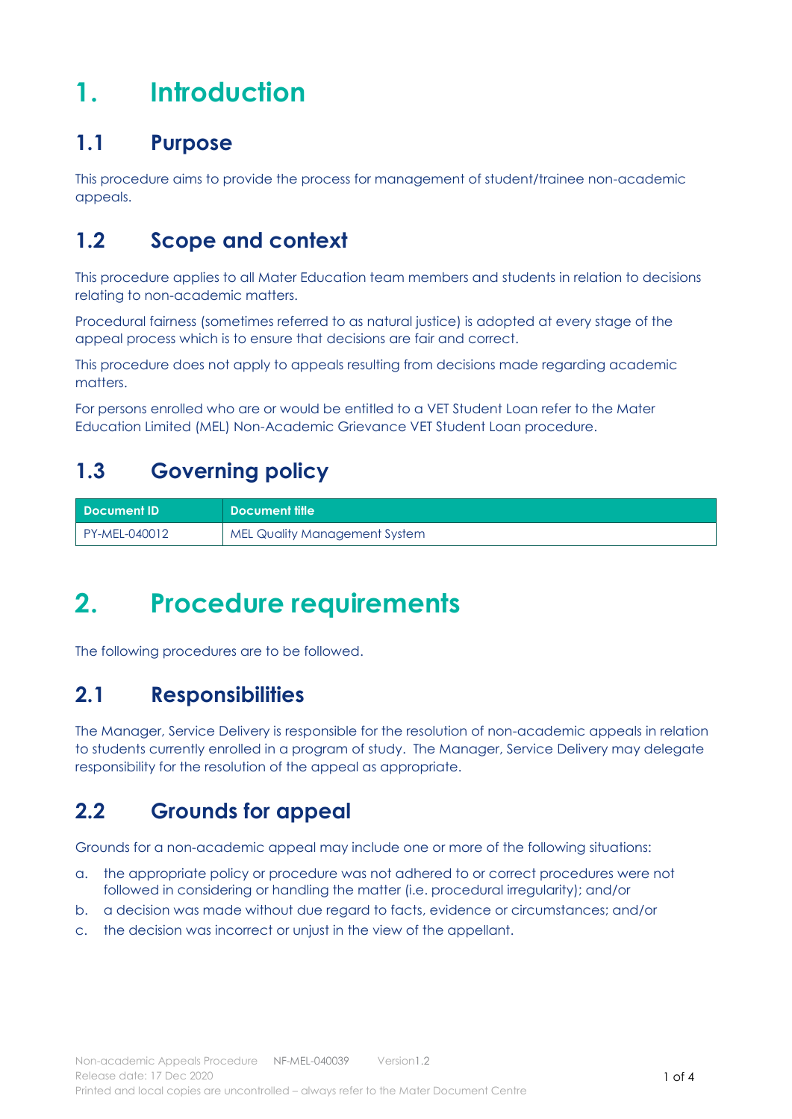## <span id="page-1-0"></span>**1. Introduction**

### <span id="page-1-1"></span>**1.1 Purpose**

This procedure aims to provide the process for management of student/trainee non-academic appeals.

### <span id="page-1-2"></span>**1.2 Scope and context**

This procedure applies to all Mater Education team members and students in relation to decisions relating to non-academic matters.

Procedural fairness (sometimes referred to as natural justice) is adopted at every stage of the appeal process which is to ensure that decisions are fair and correct.

This procedure does not apply to appeals resulting from decisions made regarding academic matters.

For persons enrolled who are or would be entitled to a VET Student Loan refer to the Mater Education Limited (MEL) Non-Academic Grievance VET Student Loan procedure.

## <span id="page-1-3"></span>**1.3 Governing policy**

| l Document ID' | <b>N</b> Document title              |
|----------------|--------------------------------------|
| PY-MEL-040012  | <b>MEL Quality Management System</b> |

## <span id="page-1-4"></span>**2. Procedure requirements**

The following procedures are to be followed.

### <span id="page-1-5"></span>**2.1 Responsibilities**

The Manager, Service Delivery is responsible for the resolution of non-academic appeals in relation to students currently enrolled in a program of study. The Manager, Service Delivery may delegate responsibility for the resolution of the appeal as appropriate.

### <span id="page-1-6"></span>**2.2 Grounds for appeal**

Grounds for a non-academic appeal may include one or more of the following situations:

- a. the appropriate policy or procedure was not adhered to or correct procedures were not followed in considering or handling the matter (i.e. procedural irregularity); and/or
- b. a decision was made without due regard to facts, evidence or circumstances; and/or
- c. the decision was incorrect or unjust in the view of the appellant.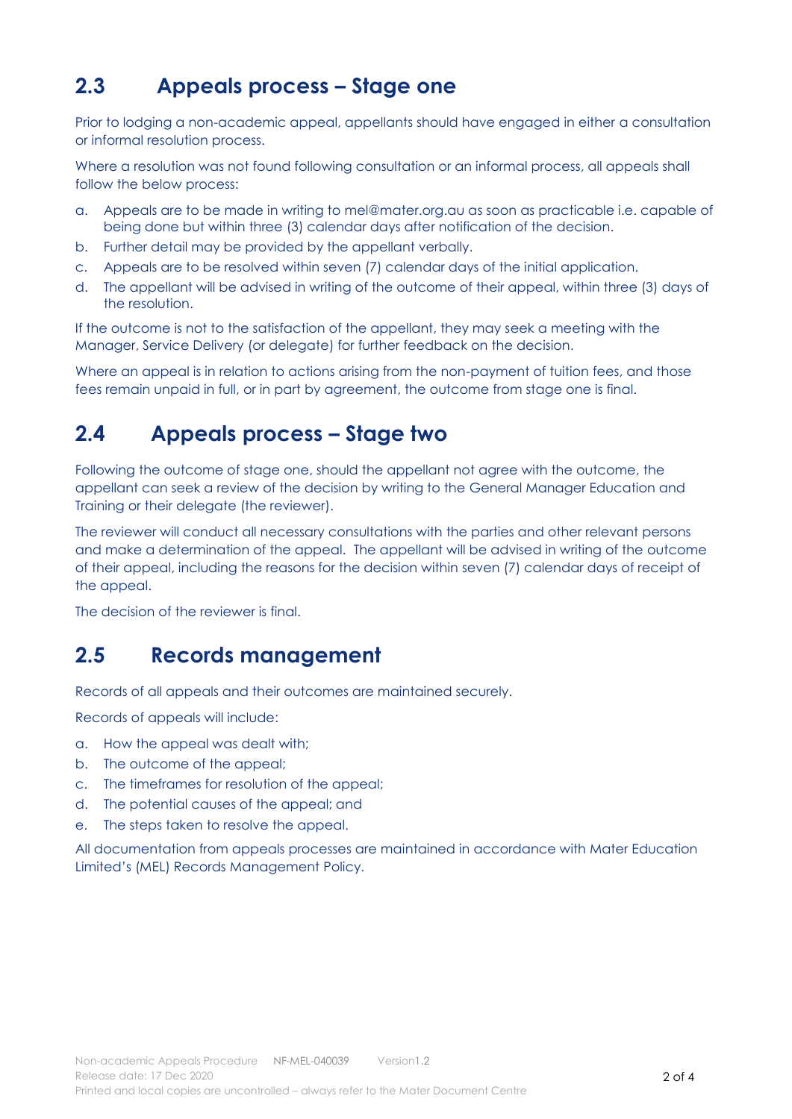### <span id="page-2-0"></span>**2.3 Appeals process – Stage one**

Prior to lodging a non-academic appeal, appellants should have engaged in either a consultation or informal resolution process.

Where a resolution was not found following consultation or an informal process, all appeals shall follow the below process:

- a. Appeals are to be made in writing to [mel@mater.org.au](mailto:mel@mater.org.au) as soon as practicable i.e. capable of being done but within three (3) calendar days after notification of the decision.
- b. Further detail may be provided by the appellant verbally.
- c. Appeals are to be resolved within seven (7) calendar days of the initial application.
- d. The appellant will be advised in writing of the outcome of their appeal, within three (3) days of the resolution.

If the outcome is not to the satisfaction of the appellant, they may seek a meeting with the Manager, Service Delivery (or delegate) for further feedback on the decision.

Where an appeal is in relation to actions arising from the non-payment of tuition fees, and those fees remain unpaid in full, or in part by agreement, the outcome from stage one is final.

#### <span id="page-2-1"></span>**2.4 Appeals process – Stage two**

Following the outcome of stage one, should the appellant not agree with the outcome, the appellant can seek a review of the decision by writing to the General Manager Education and Training or their delegate (the reviewer).

The reviewer will conduct all necessary consultations with the parties and other relevant persons and make a determination of the appeal. The appellant will be advised in writing of the outcome of their appeal, including the reasons for the decision within seven (7) calendar days of receipt of the appeal.

The decision of the reviewer is final.

#### <span id="page-2-2"></span>**2.5 Records management**

Records of all appeals and their outcomes are maintained securely.

Records of appeals will include:

- a. How the appeal was dealt with;
- b. The outcome of the appeal;
- c. The timeframes for resolution of the appeal;
- d. The potential causes of the appeal; and
- e. The steps taken to resolve the appeal.

All documentation from appeals processes are maintained in accordance with Mater Education Limited's (MEL) Records Management Policy.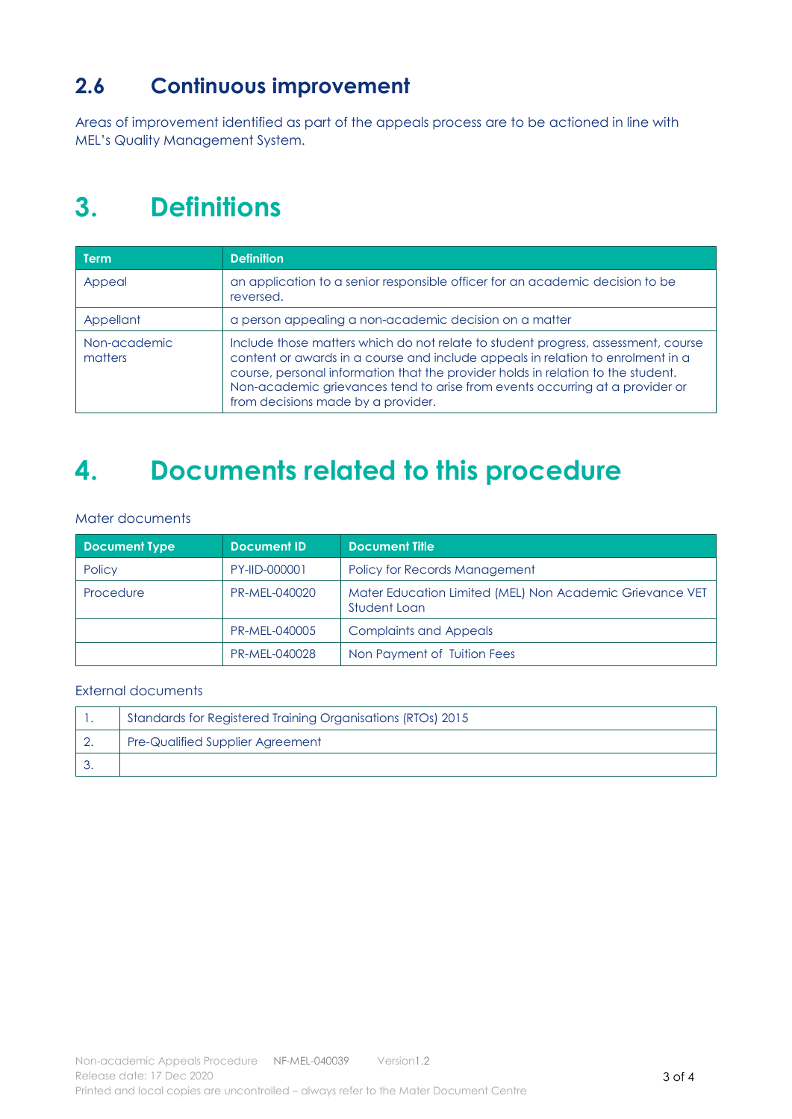## <span id="page-3-0"></span>**2.6 Continuous improvement**

Areas of improvement identified as part of the appeals process are to be actioned in line with MEL's Quality Management System.

## <span id="page-3-1"></span>**3. Definitions**

| <b>Term</b>             | <b>Definition</b>                                                                                                                                                                                                                                                                                                                                                              |
|-------------------------|--------------------------------------------------------------------------------------------------------------------------------------------------------------------------------------------------------------------------------------------------------------------------------------------------------------------------------------------------------------------------------|
| Appeal                  | an application to a senior responsible officer for an academic decision to be<br>reversed.                                                                                                                                                                                                                                                                                     |
| Appellant               | a person appealing a non-academic decision on a matter                                                                                                                                                                                                                                                                                                                         |
| Non-academic<br>matters | Include those matters which do not relate to student progress, assessment, course<br>content or awards in a course and include appeals in relation to enrolment in a<br>course, personal information that the provider holds in relation to the student.<br>Non-academic grievances tend to arise from events occurring at a provider or<br>from decisions made by a provider. |

## <span id="page-3-2"></span>**4. Documents related to this procedure**

Mater documents

| <b>Document Type</b> | Document ID   | <b>Document Title</b>                                                    |
|----------------------|---------------|--------------------------------------------------------------------------|
| Policy               | PY-IID-000001 | Policy for Records Management                                            |
| Procedure            | PR-MEL-040020 | Mater Education Limited (MEL) Non Academic Grievance VET<br>Student Loan |
|                      | PR-MEL-040005 | <b>Complaints and Appeals</b>                                            |
|                      | PR-MEL-040028 | Non Payment of Tuition Fees                                              |

#### External documents

<span id="page-3-3"></span>

| Standards for Registered Training Organisations (RTOs) 2015 |
|-------------------------------------------------------------|
| <b>Pre-Qualified Supplier Agreement</b>                     |
|                                                             |